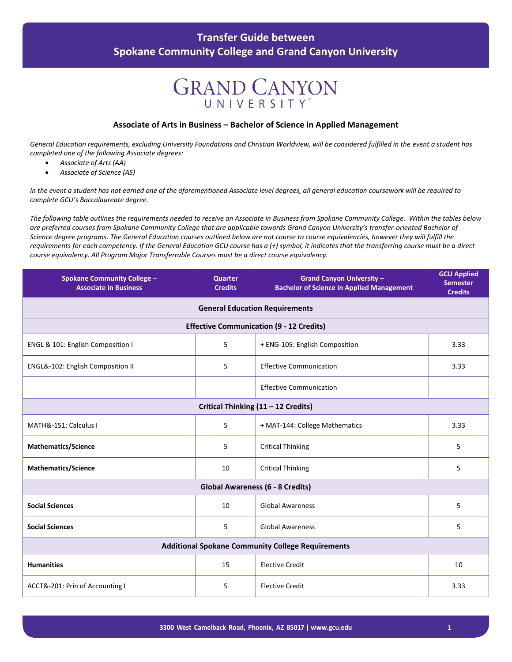#### **Transfer Guide between Spokane Community College and Grand Canyon University**

## **GRAND CANYON** UNIVERSITY

#### **Associate of Arts in Business – Bachelor of Science in Applied Management**

*General Education requirements, excluding University Foundations and Christian Worldview, will be considered fulfilled in the event a student has completed one of the following Associate degrees:*

- *Associate of Arts (AA)*
- *Associate of Science (AS)*

*In the event a student has not earned one of the aforementioned Associate level degrees, all general education coursework will be required to complete GCU's Baccalaureate degree.*

*The following table outlines the requirements needed to receive an Associate in Business from Spokane Community College. Within the tables below are preferred courses from Spokane Community College that are applicable towards Grand Canyon University's transfer-oriented Bachelor of Science degree programs. The General Education courses outlined below are not course to course equivalencies, however they will fulfill the requirements for each competency. If the General Education GCU course has a (+) symbol, it indicates that the transferring course must be a direct course equivalency. All Program Major Transferrable Courses must be a direct course equivalency.*

| <b>Spokane Community College -</b><br><b>Associate in Business</b> | <b>Quarter</b><br><b>Credits</b> | <b>Grand Canyon University -</b><br><b>Bachelor of Science in Applied Management</b> | <b>GCU Applied</b><br><b>Semester</b><br><b>Credits</b> |  |
|--------------------------------------------------------------------|----------------------------------|--------------------------------------------------------------------------------------|---------------------------------------------------------|--|
| <b>General Education Requirements</b>                              |                                  |                                                                                      |                                                         |  |
| <b>Effective Communication (9 - 12 Credits)</b>                    |                                  |                                                                                      |                                                         |  |
| ENGL & 101: English Composition I                                  | 5                                | + ENG-105: English Composition                                                       | 3.33                                                    |  |
| ENGL&-102: English Composition II                                  | 5                                | <b>Effective Communication</b>                                                       | 3.33                                                    |  |
|                                                                    |                                  | <b>Effective Communication</b>                                                       |                                                         |  |
| Critical Thinking (11 - 12 Credits)                                |                                  |                                                                                      |                                                         |  |
| MATH&-151: Calculus I                                              | 5                                | + MAT-144: College Mathematics                                                       | 3.33                                                    |  |
| <b>Mathematics/Science</b>                                         | 5                                | <b>Critical Thinking</b>                                                             | 5.                                                      |  |
| <b>Mathematics/Science</b>                                         | 10                               | <b>Critical Thinking</b>                                                             | 5.                                                      |  |
| <b>Global Awareness (6 - 8 Credits)</b>                            |                                  |                                                                                      |                                                         |  |
| <b>Social Sciences</b>                                             | 10                               | <b>Global Awareness</b>                                                              | 5                                                       |  |
| <b>Social Sciences</b>                                             | 5                                | <b>Global Awareness</b>                                                              | 5                                                       |  |
| <b>Additional Spokane Community College Requirements</b>           |                                  |                                                                                      |                                                         |  |
| <b>Humanities</b>                                                  | 15                               | <b>Elective Credit</b>                                                               | 10                                                      |  |
| ACCT&-201: Prin of Accounting I                                    | 5                                | <b>Elective Credit</b>                                                               | 3.33                                                    |  |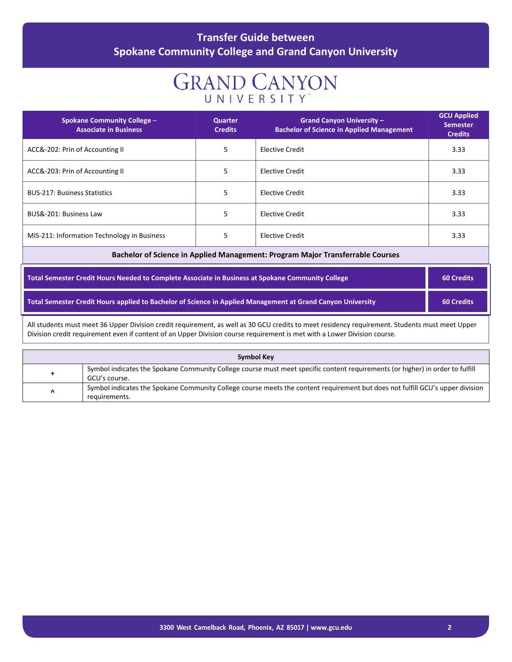### **Transfer Guide between Spokane Community College and Grand Canyon University**

# **GRAND CANYON** UNIVERSITY

| <b>Spokane Community College -</b><br><b>Associate in Business</b>                                                                                                                                                                                                         | <b>Quarter</b><br><b>Credits</b> | <b>Grand Canyon University -</b><br><b>Bachelor of Science in Applied Management</b> | <b>GCU Applied</b><br><b>Semester</b><br><b>Credits</b> |
|----------------------------------------------------------------------------------------------------------------------------------------------------------------------------------------------------------------------------------------------------------------------------|----------------------------------|--------------------------------------------------------------------------------------|---------------------------------------------------------|
| ACC&-202: Prin of Accounting II                                                                                                                                                                                                                                            | 5                                | <b>Elective Credit</b>                                                               | 3.33                                                    |
| ACC&-203: Prin of Accounting II                                                                                                                                                                                                                                            | 5                                | Elective Credit                                                                      | 3.33                                                    |
| <b>BUS-217: Business Statistics</b>                                                                                                                                                                                                                                        | 5                                | <b>Elective Credit</b>                                                               | 3.33                                                    |
| BUS&-201: Business Law                                                                                                                                                                                                                                                     | 5                                | <b>Elective Credit</b>                                                               | 3.33                                                    |
| MIS-211: Information Technology in Business                                                                                                                                                                                                                                | 5                                | <b>Elective Credit</b>                                                               | 3.33                                                    |
|                                                                                                                                                                                                                                                                            |                                  | Bachelor of Science in Applied Management: Program Major Transferrable Courses       |                                                         |
| Total Semester Credit Hours Needed to Complete Associate in Business at Spokane Community College                                                                                                                                                                          |                                  |                                                                                      | <b>60 Credits</b>                                       |
| Total Semester Credit Hours applied to Bachelor of Science in Applied Management at Grand Canyon University                                                                                                                                                                |                                  | <b>60 Credits</b>                                                                    |                                                         |
| All students must meet 36 Upper Division credit requirement, as well as 30 GCU credits to meet residency requirement. Students must meet Upper<br>Division credit requirement even if content of an Upper Division course requirement is met with a Lower Division course. |                                  |                                                                                      |                                                         |

| <b>Symbol Key</b> |                                                                                                                                                |
|-------------------|------------------------------------------------------------------------------------------------------------------------------------------------|
| ÷                 | Symbol indicates the Spokane Community College course must meet specific content requirements (or higher) in order to fulfill<br>GCU's course. |
| Λ                 | Symbol indicates the Spokane Community College course meets the content requirement but does not fulfill GCU's upper division<br>requirements. |